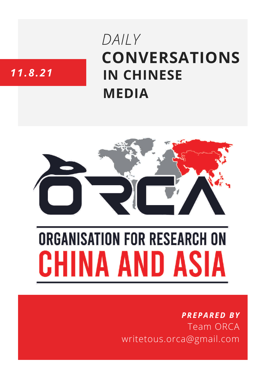# **CONVERSATIONS IN CHINESE MEDIA** *DAILY*

# *11.8.21*



# **ORGANISATION FOR RESEARCH ON** HINA AND ASIA

## *PREPARED BY* Team ORCA writetous.orca@gmail.com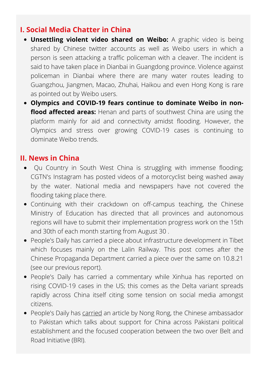#### **I. Social Media Chatter in China**

- **Unsettling violent video shared on Weibo:** A graphic video is being shared by Chinese twitter accounts as well as Weibo users in which a person is seen attacking a traffic policeman with a cleaver. The incident is said to have taken place in Dianbai in Guangdong province. Violence against policeman in Dianbai where there are many water routes leading to Guangzhou, Jiangmen, Macao, Zhuhai, Haikou and even Hong Kong is rare as pointed out by Weibo users.
- **Olympics and COVID-19 fears continue to dominate Weibo in nonflood affected areas:** Henan and parts of southwest China are using the platform mainly for aid and connectivity amidst flooding. However, the Olympics and stress over growing COVID-19 cases is continuing to dominate Weibo trends.

#### **II. News in China**

- Qu Country in South West China is struggling with immense flooding; CGTN's Instagram has posted videos of a motorcyclist being washed away by the water. National media and newspapers have not covered the flooding taking place there.
- Continuing with their crackdown on off-campus teaching, the Chinese Ministry of Education has directed that all provinces and autonomous regions will have to submit their implementation progress work on the 15th and 30th of each month starting from August 30 .
- People's Daily has carried a piece about [infrastructure](http://paper.people.com.cn/rmrb/html/2021-08/11/nw.D110000renmrb_20210811_2-01.htm) development in Tibet which focuses mainly on the Lalin Railway. This post comes after the Chinese Propaganda Department carried a piece over the same on 10.8.21 (see our previous report).
- People's Daily has carried a commentary while Xinhua has reported on rising COVID-19 cases in the US; this comes as the Delta variant spreads rapidly across China itself citing some tension on social media amongst citizens.
- People's Daily has [carried](http://paper.people.com.cn/rmrb/html/2021-08/11/nw.D110000renmrb_20210811_3-03.htm) an article by [Nong](http://paper.people.com.cn/rmrb/html/2021-08/11/nw.D110000renmrb_20210811_3-03.htm) Rong, the Chinese ambassador to Pakistan which talks about support for China across Pakistani political establishment and the focused cooperation between the two over Belt and Road Initiative (BRI).